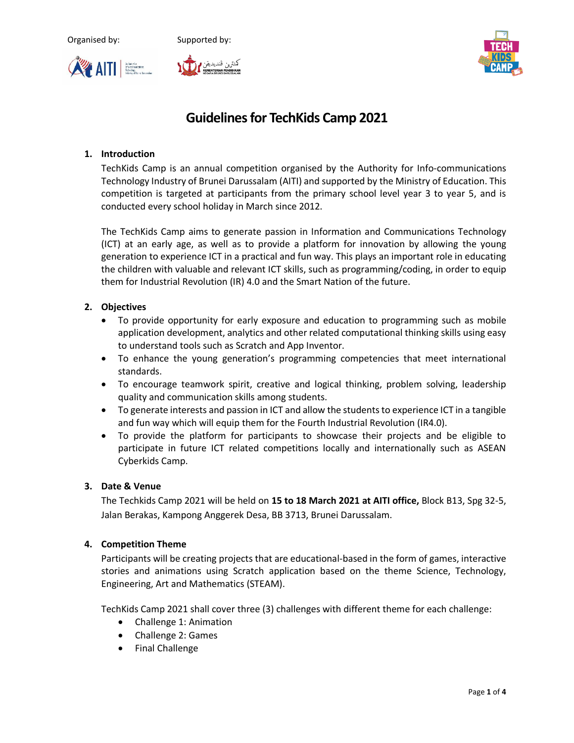





# **Guidelines for TechKids Camp 2021**

# **1. Introduction**

TechKids Camp is an annual competition organised by the Authority for Info-communications Technology Industry of Brunei Darussalam (AITI) and supported by the Ministry of Education. This competition is targeted at participants from the primary school level year 3 to year 5, and is conducted every school holiday in March since 2012.

The TechKids Camp aims to generate passion in Information and Communications Technology (ICT) at an early age, as well as to provide a platform for innovation by allowing the young generation to experience ICT in a practical and fun way. This plays an important role in educating the children with valuable and relevant ICT skills, such as programming/coding, in order to equip them for Industrial Revolution (IR) 4.0 and the Smart Nation of the future.

## **2. Objectives**

- To provide opportunity for early exposure and education to programming such as mobile application development, analytics and other related computational thinking skills using easy to understand tools such as Scratch and App Inventor.
- To enhance the young generation's programming competencies that meet international standards.
- To encourage teamwork spirit, creative and logical thinking, problem solving, leadership quality and communication skills among students.
- To generate interests and passion in ICT and allow the students to experience ICT in a tangible and fun way which will equip them for the Fourth Industrial Revolution (IR4.0).
- To provide the platform for participants to showcase their projects and be eligible to participate in future ICT related competitions locally and internationally such as ASEAN Cyberkids Camp.

## **3. Date & Venue**

The Techkids Camp 2021 will be held on **15 to 18 March 2021 at AITI office,** Block B13, Spg 32-5, Jalan Berakas, Kampong Anggerek Desa, BB 3713, Brunei Darussalam.

#### **4. Competition Theme**

Participants will be creating projects that are educational-based in the form of games, interactive stories and animations using Scratch application based on the theme Science, Technology, Engineering, Art and Mathematics (STEAM).

TechKids Camp 2021 shall cover three (3) challenges with different theme for each challenge:

- Challenge 1: Animation
- Challenge 2: Games
- Final Challenge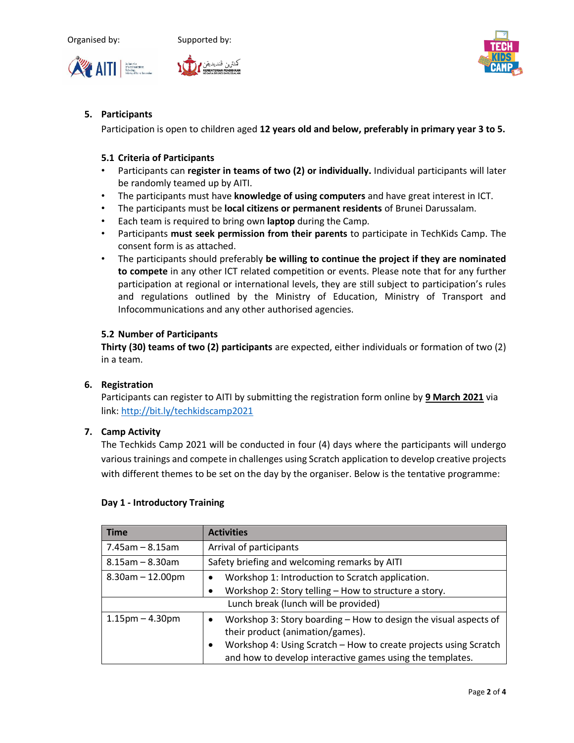





## **5. Participants**

Participation is open to children aged **12 years old and below, preferably in primary year 3 to 5.** 

#### **5.1 Criteria of Participants**

- Participants can **register in teams of two (2) or individually.** Individual participants will later be randomly teamed up by AITI.
- The participants must have **knowledge of using computers** and have great interest in ICT.
- The participants must be **local citizens or permanent residents** of Brunei Darussalam.
- Each team is required to bring own **laptop** during the Camp.
- Participants **must seek permission from their parents** to participate in TechKids Camp. The consent form is as attached.
- The participants should preferably **be willing to continue the project if they are nominated to compete** in any other ICT related competition or events. Please note that for any further participation at regional or international levels, they are still subject to participation's rules and regulations outlined by the Ministry of Education, Ministry of Transport and Infocommunications and any other authorised agencies.

#### **5.2 Number of Participants**

**Thirty (30) teams of two (2) participants** are expected, either individuals or formation of two (2) in a team.

#### **6. Registration**

Participants can register to AITI by submitting the registration form online by **9 March 2021** via link:<http://bit.ly/techkidscamp2021>

#### **7. Camp Activity**

The Techkids Camp 2021 will be conducted in four (4) days where the participants will undergo various trainings and compete in challenges using Scratch application to develop creative projects with different themes to be set on the day by the organiser. Below is the tentative programme:

| <b>Time</b>                          | <b>Activities</b>                                                                                                                                                                                                                                               |  |  |
|--------------------------------------|-----------------------------------------------------------------------------------------------------------------------------------------------------------------------------------------------------------------------------------------------------------------|--|--|
| $7.45$ am - 8.15am                   | Arrival of participants                                                                                                                                                                                                                                         |  |  |
| $8.15$ am - 8.30am                   | Safety briefing and welcoming remarks by AITI                                                                                                                                                                                                                   |  |  |
| $8.30$ am $- 12.00$ pm               | Workshop 1: Introduction to Scratch application.<br>Workshop 2: Story telling - How to structure a story.<br>٠                                                                                                                                                  |  |  |
| Lunch break (lunch will be provided) |                                                                                                                                                                                                                                                                 |  |  |
| $1.15$ pm $-4.30$ pm                 | Workshop 3: Story boarding - How to design the visual aspects of<br>$\bullet$<br>their product (animation/games).<br>Workshop 4: Using Scratch - How to create projects using Scratch<br>$\bullet$<br>and how to develop interactive games using the templates. |  |  |

#### **Day 1 - Introductory Training**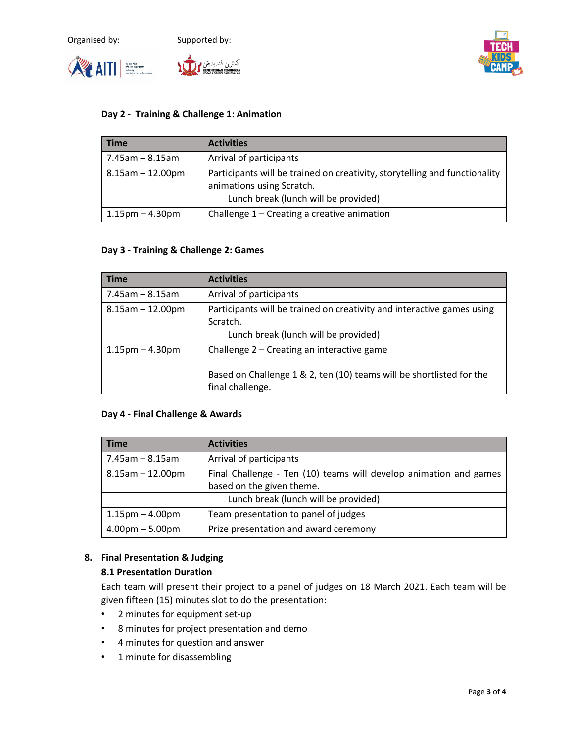





#### **Day 2 - Training & Challenge 1: Animation**

| <b>Time</b>                          | <b>Activities</b>                                                                                       |  |
|--------------------------------------|---------------------------------------------------------------------------------------------------------|--|
| 7.45am – 8.15am                      | Arrival of participants                                                                                 |  |
| $8.15$ am - 12.00pm                  | Participants will be trained on creativity, storytelling and functionality<br>animations using Scratch. |  |
| Lunch break (lunch will be provided) |                                                                                                         |  |
| $1.15$ pm – 4.30pm                   | Challenge $1$ – Creating a creative animation                                                           |  |

#### **Day 3 - Training & Challenge 2: Games**

| <b>Time</b>                          | <b>Activities</b>                                                                        |  |  |
|--------------------------------------|------------------------------------------------------------------------------------------|--|--|
| $7.45$ am – 8.15am                   | Arrival of participants                                                                  |  |  |
| $8.15$ am $-12.00$ pm                | Participants will be trained on creativity and interactive games using                   |  |  |
|                                      | Scratch.                                                                                 |  |  |
| Lunch break (lunch will be provided) |                                                                                          |  |  |
| $1.15$ pm $- 4.30$ pm                | Challenge 2 – Creating an interactive game                                               |  |  |
|                                      | Based on Challenge 1 & 2, ten (10) teams will be shortlisted for the<br>final challenge. |  |  |

#### **Day 4 - Final Challenge & Awards**

| <b>Time</b>                          | <b>Activities</b>                                                 |  |
|--------------------------------------|-------------------------------------------------------------------|--|
| 7.45am – 8.15am                      | Arrival of participants                                           |  |
| $8.15$ am $-12.00$ pm                | Final Challenge - Ten (10) teams will develop animation and games |  |
|                                      | based on the given theme.                                         |  |
| Lunch break (lunch will be provided) |                                                                   |  |
| $1.15$ pm $-$ 4.00pm                 | Team presentation to panel of judges                              |  |
| $4.00 \text{pm} - 5.00 \text{pm}$    | Prize presentation and award ceremony                             |  |

### **8. Final Presentation & Judging**

#### **8.1 Presentation Duration**

Each team will present their project to a panel of judges on 18 March 2021. Each team will be given fifteen (15) minutes slot to do the presentation:

- 2 minutes for equipment set-up
- 8 minutes for project presentation and demo
- 4 minutes for question and answer
- 1 minute for disassembling